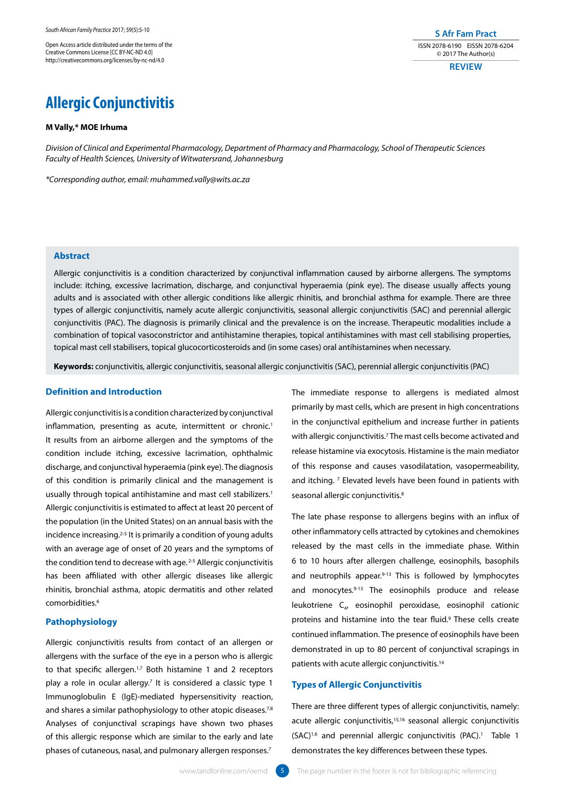Open Access article distributed under the terms of the Creative Commons License [CC BY-NC-ND 4.0] http://creativecommons.org/licenses/by-nc-nd/4.0

**S Afr Fam Pract** ISSN 2078-6190 EISSN 2078-6204 © 2017 The Author(s)

**REVIEW**

# **Allergic Conjunctivitis**

### **M Vally,\* MOE Irhuma**

*Division of Clinical and Experimental Pharmacology, Department of Pharmacy and Pharmacology, School of Therapeutic Sciences Faculty of Health Sciences, University of Witwatersrand, Johannesburg*

*\*Corresponding author, email: muhammed.vally@wits.ac.za*

# **Abstract**

Allergic conjunctivitis is a condition characterized by conjunctival inflammation caused by airborne allergens. The symptoms include: itching, excessive lacrimation, discharge, and conjunctival hyperaemia (pink eye). The disease usually affects young adults and is associated with other allergic conditions like allergic rhinitis, and bronchial asthma for example. There are three types of allergic conjunctivitis, namely acute allergic conjunctivitis, seasonal allergic conjunctivitis (SAC) and perennial allergic conjunctivitis (PAC). The diagnosis is primarily clinical and the prevalence is on the increase. Therapeutic modalities include a combination of topical vasoconstrictor and antihistamine therapies, topical antihistamines with mast cell stabilising properties, topical mast cell stabilisers, topical glucocorticosteroids and (in some cases) oral antihistamines when necessary.

**Keywords:** conjunctivitis, allergic conjunctivitis, seasonal allergic conjunctivitis (SAC), perennial allergic conjunctivitis (PAC)

# **Definition and Introduction**

Allergic conjunctivitis is a condition characterized by conjunctival inflammation, presenting as acute, intermittent or chronic.<sup>1</sup> It results from an airborne allergen and the symptoms of the condition include itching, excessive lacrimation, ophthalmic discharge, and conjunctival hyperaemia (pink eye). The diagnosis of this condition is primarily clinical and the management is usually through topical antihistamine and mast cell stabilizers.<sup>1</sup> Allergic conjunctivitis is estimated to affect at least 20 percent of the population (in the United States) on an annual basis with the incidence increasing.2-5 It is primarily a condition of young adults with an average age of onset of 20 years and the symptoms of the condition tend to decrease with age.<sup>2-5</sup> Allergic conjunctivitis has been affiliated with other allergic diseases like allergic rhinitis, bronchial asthma, atopic dermatitis and other related comorbidities.6

# **Pathophysiology**

Allergic conjunctivitis results from contact of an allergen or allergens with the surface of the eye in a person who is allergic to that specific allergen.<sup>1,7</sup> Both histamine 1 and 2 receptors play a role in ocular allergy.<sup>7</sup> It is considered a classic type 1 Immunoglobulin E (IgE)-mediated hypersensitivity reaction, and shares a similar pathophysiology to other atopic diseases.<sup>7,8</sup> Analyses of conjunctival scrapings have shown two phases of this allergic response which are similar to the early and late phases of cutaneous, nasal, and pulmonary allergen responses.7

The immediate response to allergens is mediated almost primarily by mast cells, which are present in high concentrations in the conjunctival epithelium and increase further in patients with allergic conjunctivitis.<sup>7</sup> The mast cells become activated and release histamine via exocytosis. Histamine is the main mediator of this response and causes vasodilatation, vasopermeability, and itching. 7 Elevated levels have been found in patients with seasonal allergic conjunctivitis.<sup>8</sup>

The late phase response to allergens begins with an influx of other inflammatory cells attracted by cytokines and chemokines released by the mast cells in the immediate phase. Within 6 to 10 hours after allergen challenge, eosinophils, basophils and neutrophils appear. $9-13$  This is followed by lymphocytes and monocytes.<sup>9-13</sup> The eosinophils produce and release leukotriene C<sub>4</sub>, eosinophil peroxidase, eosinophil cationic proteins and histamine into the tear fluid.<sup>9</sup> These cells create continued inflammation. The presence of eosinophils have been demonstrated in up to 80 percent of conjunctival scrapings in patients with acute allergic conjunctivitis.14

# **Types of Allergic Conjunctivitis**

There are three different types of allergic conjunctivitis, namely: acute allergic conjunctivitis,15,16 seasonal allergic conjunctivitis (SAC)<sup>1,6</sup> and perennial allergic conjunctivitis (PAC).<sup>1</sup> Table 1 demonstrates the key differences between these types.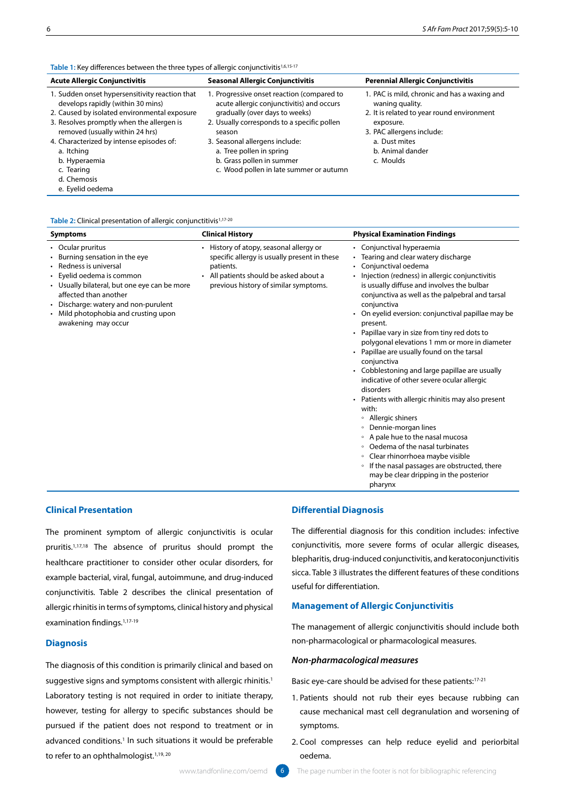**Table 1:** Key differences between the three types of allergic conjunctivitis<sup>1,6,15-17</sup>

| <b>Acute Allergic Conjunctivitis</b>                                                                                                                                                                                                                                                                                        | <b>Seasonal Allergic Conjunctivitis</b>                                                                                                                                                                                                                                                                                  | <b>Perennial Allergic Conjunctivitis</b>                                                                                                                                                                  |  |
|-----------------------------------------------------------------------------------------------------------------------------------------------------------------------------------------------------------------------------------------------------------------------------------------------------------------------------|--------------------------------------------------------------------------------------------------------------------------------------------------------------------------------------------------------------------------------------------------------------------------------------------------------------------------|-----------------------------------------------------------------------------------------------------------------------------------------------------------------------------------------------------------|--|
| 1. Sudden onset hypersensitivity reaction that<br>develops rapidly (within 30 mins)<br>2. Caused by isolated environmental exposure<br>3. Resolves promptly when the allergen is<br>removed (usually within 24 hrs)<br>4. Characterized by intense episodes of:<br>a. Itching<br>b. Hyperaemia<br>c. Tearing<br>d. Chemosis | 1. Progressive onset reaction (compared to<br>acute allergic conjunctivitis) and occurs<br>gradually (over days to weeks)<br>2. Usually corresponds to a specific pollen<br>season<br>3. Seasonal allergens include:<br>a. Tree pollen in spring<br>b. Grass pollen in summer<br>c. Wood pollen in late summer or autumn | 1. PAC is mild, chronic and has a waxing and<br>waning quality.<br>2. It is related to year round environment<br>exposure.<br>3. PAC allergens include:<br>a. Dust mites<br>b. Animal dander<br>c. Moulds |  |
| e. Eyelid oedema                                                                                                                                                                                                                                                                                                            |                                                                                                                                                                                                                                                                                                                          |                                                                                                                                                                                                           |  |

### Table 2: Clinical presentation of allergic conjunctitivis<sup>1,17-20</sup>

| <b>Symptoms</b>                                                                                                                                                                                                                                                                            | <b>Clinical History</b>                                                                                                                                                                          | <b>Physical Examination Findings</b>                                                                                                                                                                                                                                                                                                                                                                                                                                                                                                                                                                                                                                                                                                                                                                                                                                                                                                                                                         |
|--------------------------------------------------------------------------------------------------------------------------------------------------------------------------------------------------------------------------------------------------------------------------------------------|--------------------------------------------------------------------------------------------------------------------------------------------------------------------------------------------------|----------------------------------------------------------------------------------------------------------------------------------------------------------------------------------------------------------------------------------------------------------------------------------------------------------------------------------------------------------------------------------------------------------------------------------------------------------------------------------------------------------------------------------------------------------------------------------------------------------------------------------------------------------------------------------------------------------------------------------------------------------------------------------------------------------------------------------------------------------------------------------------------------------------------------------------------------------------------------------------------|
| • Ocular pruritus<br>• Burning sensation in the eye<br>• Redness is universal<br>• Eyelid oedema is common<br>• Usually bilateral, but one eye can be more<br>affected than another<br>• Discharge: watery and non-purulent<br>• Mild photophobia and crusting upon<br>awakening may occur | History of atopy, seasonal allergy or<br>specific allergy is usually present in these<br>patients.<br>All patients should be asked about a<br>$\bullet$<br>previous history of similar symptoms. | • Conjunctival hyperaemia<br>• Tearing and clear watery discharge<br>• Conjunctival oedema<br>Injection (redness) in allergic conjunctivitis<br>$\bullet$<br>is usually diffuse and involves the bulbar<br>conjunctiva as well as the palpebral and tarsal<br>conjunctiva<br>• On eyelid eversion: conjunctival papillae may be<br>present.<br>• Papillae vary in size from tiny red dots to<br>polygonal elevations 1 mm or more in diameter<br>• Papillae are usually found on the tarsal<br>conjunctiva<br>• Cobblestoning and large papillae are usually<br>indicative of other severe ocular allergic<br>disorders<br>• Patients with allergic rhinitis may also present<br>with:<br>• Allergic shiners<br>Dennie-morgan lines<br>$\circ$<br>• A pale hue to the nasal mucosa<br>Oedema of the nasal turbinates<br>$\circ$<br>Clear rhinorrhoea maybe visible<br>$\circ$<br>If the nasal passages are obstructed, there<br>$\circ$<br>may be clear dripping in the posterior<br>pharvnx |

# **Clinical Presentation**

The prominent symptom of allergic conjunctivitis is ocular pruritis.1,17,18 The absence of pruritus should prompt the healthcare practitioner to consider other ocular disorders, for example bacterial, viral, fungal, autoimmune, and drug-induced conjunctivitis. Table 2 describes the clinical presentation of allergic rhinitis in terms of symptoms, clinical history and physical examination findings.1,17-19

### **Diagnosis**

The diagnosis of this condition is primarily clinical and based on suggestive signs and symptoms consistent with allergic rhinitis.<sup>1</sup> Laboratory testing is not required in order to initiate therapy, however, testing for allergy to specific substances should be pursued if the patient does not respond to treatment or in advanced conditions.<sup>1</sup> In such situations it would be preferable to refer to an ophthalmologist.<sup>1,19, 20</sup>

### **Differential Diagnosis**

The differential diagnosis for this condition includes: infective conjunctivitis, more severe forms of ocular allergic diseases, blepharitis, drug-induced conjunctivitis, and keratoconjunctivitis sicca. Table 3 illustrates the different features of these conditions useful for differentiation.

# **Management of Allergic Conjunctivitis**

The management of allergic conjunctivitis should include both non-pharmacological or pharmacological measures.

# *Non-pharmacological measures*

Basic eye-care should be advised for these patients:17-21

- 1. Patients should not rub their eyes because rubbing can cause mechanical mast cell degranulation and worsening of symptoms.
- 2. Cool compresses can help reduce eyelid and periorbital oedema.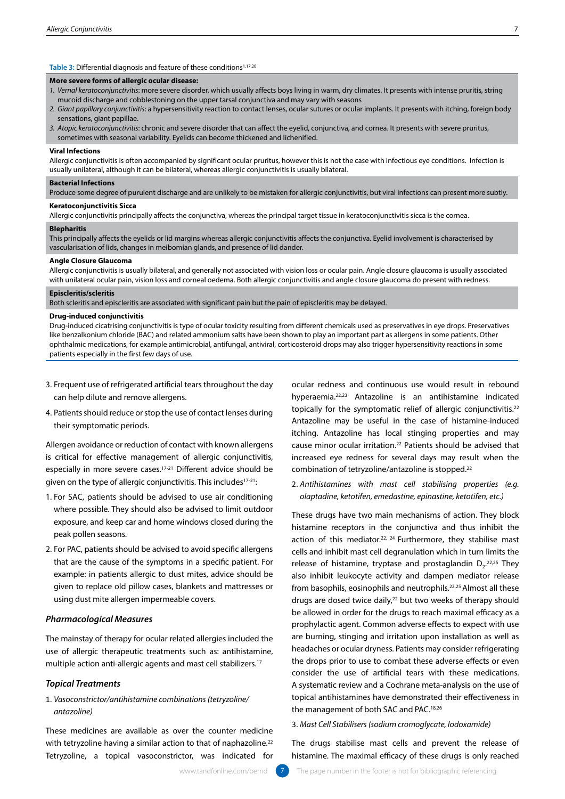### **Table 3: Differential diagnosis and feature of these conditions<sup>1,17,20</sup>**

### **More severe forms of allergic ocular disease:**

- *1. Vernal keratoconjunctivitis*: more severe disorder, which usually affects boys living in warm, dry climates. It presents with intense pruritis, string mucoid discharge and cobblestoning on the upper tarsal conjunctiva and may vary with seasons
- *2. Giant papillary conjunctivitis*: a hypersensitivity reaction to contact lenses, ocular sutures or ocular implants. It presents with itching, foreign body sensations, giant papillae.
- *3. Atopic keratoconjunctivitis*: chronic and severe disorder that can affect the eyelid, conjunctiva, and cornea. It presents with severe pruritus, sometimes with seasonal variability. Eyelids can become thickened and lichenified.

#### **Viral Infections**

Allergic conjunctivitis is often accompanied by significant ocular pruritus, however this is not the case with infectious eye conditions. Infection is usually unilateral, although it can be bilateral, whereas allergic conjunctivitis is usually bilateral.

#### **Bacterial Infections**

Produce some degree of purulent discharge and are unlikely to be mistaken for allergic conjunctivitis, but viral infections can present more subtly.

### **Keratoconjunctivitis Sicca**

Allergic conjunctivitis principally affects the conjunctiva, whereas the principal target tissue in keratoconjunctivitis sicca is the cornea.

### **Blepharitis**

This principally affects the eyelids or lid margins whereas allergic conjunctivitis affects the conjunctiva. Eyelid involvement is characterised by vascularisation of lids, changes in meibomian glands, and presence of lid dander.

#### **Angle Closure Glaucoma**

Allergic conjunctivitis is usually bilateral, and generally not associated with vision loss or ocular pain. Angle closure glaucoma is usually associated with unilateral ocular pain, vision loss and corneal oedema. Both allergic conjunctivitis and angle closure glaucoma do present with redness.

#### **Episcleritis/scleritis**

Both scleritis and episcleritis are associated with significant pain but the pain of episcleritis may be delayed.

### **Drug-induced conjunctivitis**

Drug-induced cicatrising conjunctivitis is type of ocular toxicity resulting from different chemicals used as preservatives in eye drops. Preservatives like benzalkonium chloride (BAC) and related ammonium salts have been shown to play an important part as allergens in some patients. Other ophthalmic medications, for example antimicrobial, antifungal, antiviral, corticosteroid drops may also trigger hypersensitivity reactions in some patients especially in the first few days of use.

- 3. Frequent use of refrigerated artificial tears throughout the day can help dilute and remove allergens.
- 4. Patients should reduce or stop the use of contact lenses during their symptomatic periods.

Allergen avoidance or reduction of contact with known allergens is critical for effective management of allergic conjunctivitis, especially in more severe cases.17-21 Different advice should be given on the type of allergic conjunctivitis. This includes<sup>17-21</sup>:

- 1. For SAC, patients should be advised to use air conditioning where possible. They should also be advised to limit outdoor exposure, and keep car and home windows closed during the peak pollen seasons.
- 2. For PAC, patients should be advised to avoid specific allergens that are the cause of the symptoms in a specific patient. For example: in patients allergic to dust mites, advice should be given to replace old pillow cases, blankets and mattresses or using dust mite allergen impermeable covers.

# *Pharmacological Measures*

The mainstay of therapy for ocular related allergies included the use of allergic therapeutic treatments such as: antihistamine, multiple action anti-allergic agents and mast cell stabilizers.17

## *Topical Treatments*

# 1. *Vasoconstrictor/antihistamine combinations (tetryzoline/ antazoline)*

These medicines are available as over the counter medicine with tetryzoline having a similar action to that of naphazoline.<sup>22</sup> Tetryzoline, a topical vasoconstrictor, was indicated for

ocular redness and continuous use would result in rebound hyperaemia.22,23 Antazoline is an antihistamine indicated topically for the symptomatic relief of allergic conjunctivitis.<sup>22</sup> Antazoline may be useful in the case of histamine-induced itching. Antazoline has local stinging properties and may cause minor ocular irritation.22 Patients should be advised that increased eye redness for several days may result when the combination of tetryzoline/antazoline is stopped.22

2. *Antihistamines with mast cell stabilising properties (e.g. olaptadine, ketotifen, emedastine, epinastine, ketotifen, etc.)*

These drugs have two main mechanisms of action. They block histamine receptors in the conjunctiva and thus inhibit the action of this mediator.<sup>22, 24</sup> Furthermore, they stabilise mast cells and inhibit mast cell degranulation which in turn limits the release of histamine, tryptase and prostaglandin  $D_2$ ,  $22,25$  They also inhibit leukocyte activity and dampen mediator release from basophils, eosinophils and neutrophils.22,25 Almost all these drugs are dosed twice daily,<sup>22</sup> but two weeks of therapy should be allowed in order for the drugs to reach maximal efficacy as a prophylactic agent. Common adverse effects to expect with use are burning, stinging and irritation upon installation as well as headaches or ocular dryness. Patients may consider refrigerating the drops prior to use to combat these adverse effects or even consider the use of artificial tears with these medications. A systematic review and a Cochrane meta-analysis on the use of topical antihistamines have demonstrated their effectiveness in the management of both SAC and PAC.18,26

3. *Mast Cell Stabilisers (sodium cromoglycate, lodoxamide)*

The drugs stabilise mast cells and prevent the release of histamine. The maximal efficacy of these drugs is only reached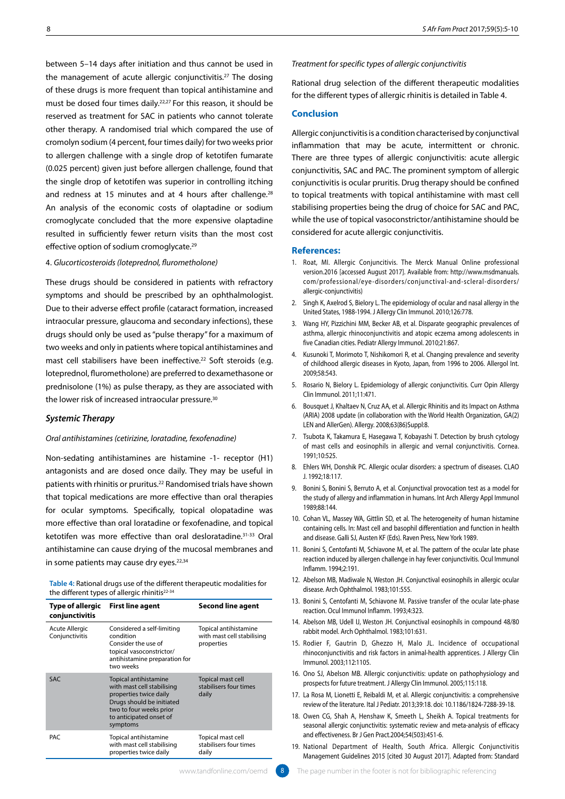between 5–14 days after initiation and thus cannot be used in the management of acute allergic conjunctivitis.27 The dosing of these drugs is more frequent than topical antihistamine and must be dosed four times daily.22,27 For this reason, it should be reserved as treatment for SAC in patients who cannot tolerate other therapy. A randomised trial which compared the use of cromolyn sodium (4 percent, four times daily) for two weeks prior to allergen challenge with a single drop of ketotifen fumarate (0.025 percent) given just before allergen challenge, found that the single drop of ketotifen was superior in controlling itching and redness at 15 minutes and at 4 hours after challenge.<sup>28</sup> An analysis of the economic costs of olaptadine or sodium cromoglycate concluded that the more expensive olaptadine resulted in sufficiently fewer return visits than the most cost effective option of sodium cromoglycate.<sup>29</sup>

### 4. *Glucorticosteroids (loteprednol, flurometholone)*

These drugs should be considered in patients with refractory symptoms and should be prescribed by an ophthalmologist. Due to their adverse effect profile (cataract formation, increased intraocular pressure, glaucoma and secondary infections), these drugs should only be used as "pulse therapy" for a maximum of two weeks and only in patients where topical antihistamines and mast cell stabilisers have been ineffective.<sup>22</sup> Soft steroids (e.g. loteprednol, flurometholone) are preferred to dexamethasone or prednisolone (1%) as pulse therapy, as they are associated with the lower risk of increased intraocular pressure.<sup>30</sup>

# *Systemic Therapy*

### *Oral antihistamines (cetirizine, loratadine, fexofenadine)*

Non-sedating antihistamines are histamine -1- receptor (H1) antagonists and are dosed once daily. They may be useful in patients with rhinitis or pruritus.22 Randomised trials have shown that topical medications are more effective than oral therapies for ocular symptoms. Specifically, topical olopatadine was more effective than oral loratadine or fexofenadine, and topical ketotifen was more effective than oral desloratadine.31-33 Oral antihistamine can cause drying of the mucosal membranes and in some patients may cause dry eyes.<sup>22,34</sup>

**Table 4:** Rational drugs use of the different therapeutic modalities for the different types of allergic rhinitis<sup>22-34</sup>

| Type of allergic<br>conjunctivitis      | <b>First line agent</b>                                                                                                                                                      | <b>Second line agent</b>                                          |
|-----------------------------------------|------------------------------------------------------------------------------------------------------------------------------------------------------------------------------|-------------------------------------------------------------------|
| <b>Acute Allergic</b><br>Conjunctivitis | Considered a self-limiting<br>condition<br>Consider the use of<br>topical vasoconstrictor/<br>antihistamine preparation for<br>two weeks                                     | Topical antihistamine<br>with mast cell stabilising<br>properties |
| <b>SAC</b>                              | Topical antihistamine<br>with mast cell stabilising<br>properties twice daily<br>Drugs should be initiated<br>two to four weeks prior<br>to anticipated onset of<br>symptoms | Topical mast cell<br>stabilisers four times<br>daily              |
| <b>PAC</b>                              | Topical antihistamine<br>with mast cell stabilising<br>properties twice daily                                                                                                | Topical mast cell<br>stabilisers four times<br>daily              |

*Treatment for specific types of allergic conjunctivitis* 

Rational drug selection of the different therapeutic modalities for the different types of allergic rhinitis is detailed in Table 4.

# **Conclusion**

Allergic conjunctivitis is a condition characterised by conjunctival inflammation that may be acute, intermittent or chronic. There are three types of allergic conjunctivitis: acute allergic conjunctivitis, SAC and PAC. The prominent symptom of allergic conjunctivitis is ocular pruritis. Drug therapy should be confined to topical treatments with topical antihistamine with mast cell stabilising properties being the drug of choice for SAC and PAC, while the use of topical vasoconstrictor/antihistamine should be considered for acute allergic conjunctivitis.

### **References:**

- 1. Roat, MI. Allergic Conjuncitivis. The Merck Manual Online professional version.2016 [accessed August 2017]. Available from: http://www.msdmanuals. com/professional/eye-disorders/conjunctival-and-scleral-disorders/ allergic-conjunctivitis)
- 2. Singh K, Axelrod S, Bielory L. The epidemiology of ocular and nasal allergy in the United States, 1988-1994. J Allergy Clin Immunol. 2010;126:778.
- 3. Wang HY, Pizzichini MM, Becker AB, et al. Disparate geographic prevalences of asthma, allergic rhinoconjunctivitis and atopic eczema among adolescents in five Canadian cities. Pediatr Allergy Immunol. 2010;21:867.
- 4. Kusunoki T, Morimoto T, Nishikomori R, et al. Changing prevalence and severity of childhood allergic diseases in Kyoto, Japan, from 1996 to 2006. Allergol Int. 2009;58:543.
- 5. Rosario N, Bielory L. Epidemiology of allergic conjunctivitis. Curr Opin Allergy Clin Immunol. 2011;11:471.
- 6. Bousquet J, Khaltaev N, Cruz AA, et al. Allergic Rhinitis and its Impact on Asthma (ARIA) 2008 update (in collaboration with the World Health Organization, GA(2) LEN and AllerGen). Allergy. 2008;63(86)Suppl:8.
- 7. Tsubota K, Takamura E, Hasegawa T, Kobayashi T. Detection by brush cytology of mast cells and eosinophils in allergic and vernal conjunctivitis. Cornea. 1991;10:525.
- 8. Ehlers WH, Donshik PC. Allergic ocular disorders: a spectrum of diseases. CLAO J. 1992;18:117.
- 9. Bonini S, Bonini S, Berruto A, et al. Conjunctival provocation test as a model for the study of allergy and inflammation in humans. Int Arch Allergy Appl Immunol 1989;88:144.
- 10. Cohan VL, Massey WA, Gittlin SD, et al. The heterogeneity of human histamine containing cells. In: Mast cell and basophil differentiation and function in health and disease. Galli SJ, Austen KF (Eds). Raven Press, New York 1989.
- 11. Bonini S, Centofanti M, Schiavone M, et al. The pattern of the ocular late phase reaction induced by allergen challenge in hay fever conjunctivitis. Ocul Immunol Inflamm. 1994;2:191.
- 12. Abelson MB, Madiwale N, Weston JH. Conjunctival eosinophils in allergic ocular disease. Arch Ophthalmol. 1983;101:555.
- 13. Bonini S, Centofanti M, Schiavone M. Passive transfer of the ocular late-phase reaction. Ocul Immunol Inflamm. 1993;4:323.
- 14. Abelson MB, Udell IJ, Weston JH. Conjunctival eosinophils in compound 48/80 rabbit model. Arch Ophthalmol. 1983;101:631.
- 15. Rodier F, Gautrin D, Ghezzo H, Malo JL. Incidence of occupational rhinoconjunctivitis and risk factors in animal-health apprentices. J Allergy Clin Immunol. 2003;112:1105.
- 16. Ono SJ, Abelson MB. Allergic conjunctivitis: update on pathophysiology and prospects for future treatment. J Allergy Clin Immunol. 2005;115:118.
- 17. La Rosa M, Lionetti E, Reibaldi M, et al. Allergic conjunctivitis: a comprehensive review of the literature. Ital J Pediatr. 2013;39:18. doi: 10.1186/1824-7288-39-18.
- 18. Owen CG, Shah A, Henshaw K, Smeeth L, Sheikh A. Topical treatments for seasonal allergic conjunctivitis: systematic review and meta-analysis of efficacy and effectiveness. Br J Gen Pract.2004;54(503):451-6.
- 19. National Department of Health, South Africa. Allergic Conjunctivitis Management Guidelines 2015 [cited 30 August 2017]. Adapted from: Standard